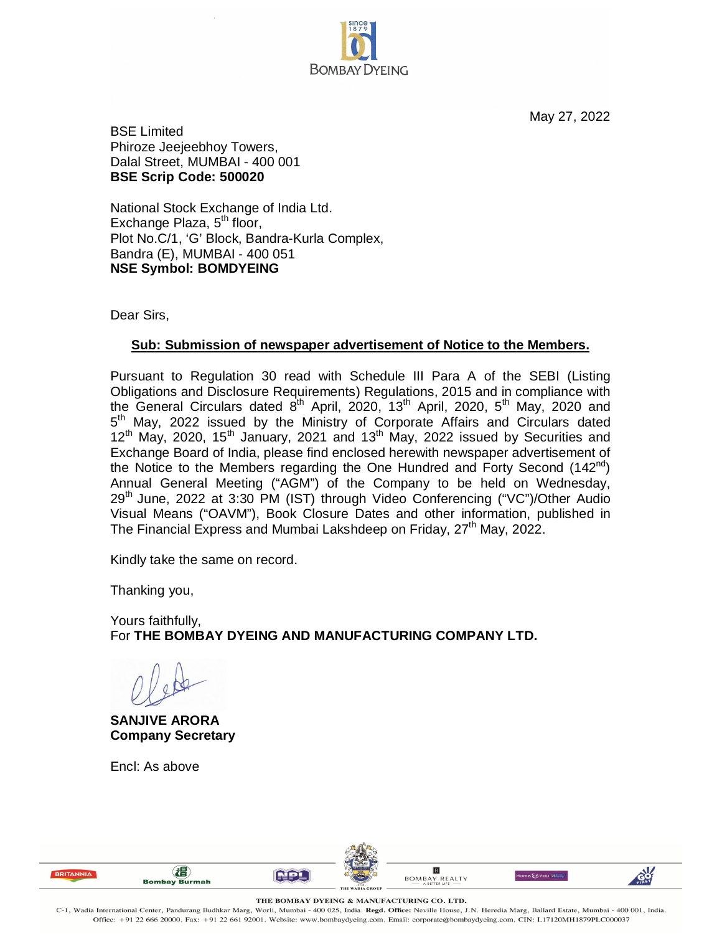

May 27, 2022

BSE Limited Phiroze Jeejeebhoy Towers, Dalal Street, MUMBAI - 400 001 **BSE Scrip Code: 500020**

National Stock Exchange of India Ltd. Exchange Plaza,  $5<sup>th</sup>$  floor, Plot No.C/1, 'G' Block, Bandra-Kurla Complex, Bandra (E), MUMBAI - 400 051 **NSE Symbol: BOMDYEING**

Dear Sirs,

## **Sub: Submission of newspaper advertisement of Notice to the Members.**

Pursuant to Regulation 30 read with Schedule III Para A of the SEBI (Listing Obligations and Disclosure Requirements) Regulations, 2015 and in compliance with the General Circulars dated  $8^{th}$  April, 2020, 13<sup>th</sup> April, 2020, 5<sup>th</sup> May, 2020 and 5<sup>th</sup> May, 2022 issued by the Ministry of Corporate Affairs and Circulars dated  $12<sup>th</sup>$  May, 2020, 15<sup>th</sup> January, 2021 and 13<sup>th</sup> May, 2022 issued by Securities and Exchange Board of India, please find enclosed herewith newspaper advertisement of the Notice to the Members regarding the One Hundred and Forty Second  $(142<sup>nd</sup>)$ Annual General Meeting ("AGM") of the Company to be held on Wednesday, 29<sup>th</sup> June, 2022 at 3:30 PM (IST) through Video Conferencing ("VC")/Other Audio Visual Means ("OAVM"), Book Closure Dates and other information, published in The Financial Express and Mumbai Lakshdeep on Friday, 27<sup>th</sup> May, 2022.

Kindly take the same on record.

Thanking you,

Yours faithfully, For **THE BOMBAY DYEING AND MANUFACTURING COMPANY LTD.**

**SANJIVE ARORA Company Secretary**

(相)

Encl: As above







THE BOMBAY DYEING & MANUFACTURING CO. LTD.

C-1, Wadia International Center, Pandurang Budhkar Marg, Worli, Mumbai - 400 025, India. Regd. Office: Neville House, J.N. Heredia Marg, Ballard Estate, Mumbai - 400 001, India Office: +91 22 666 20000. Fax: +91 22 661 92001. Website: www.bombaydyeing.com. Email: corporate@bombaydyeing.com. CIN: L17120MH1879PLC000037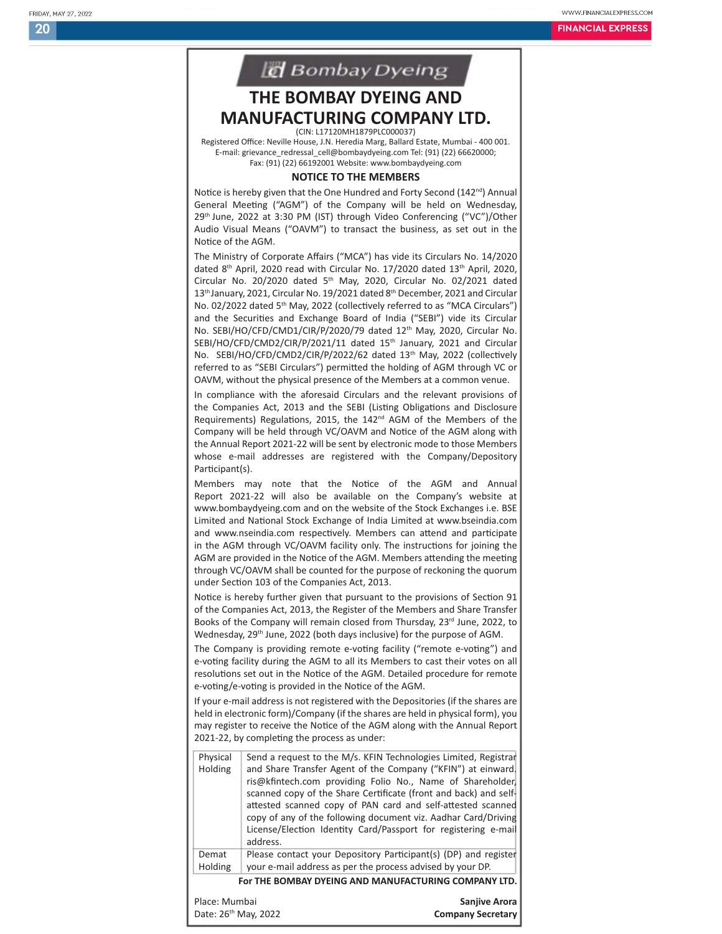20

WWW.FINANCIALEXPRESS.COM

**FINANCIAL EXPRESS** 



## **THE BOMBAY DYEING AND MANUFACTURING COMPANY LTD.** (CIN: L17120MH1879PLC000037)

Registered Office: Neville House, J.N. Heredia Marg, Ballard Estate, Mumbai - 400 001. E-mail: grievance\_redressal\_cell@bombaydyeing.com Tel: (91) (22) 66620000; Fax: (91) (22) 66192001 Website: www.bombaydyeing.com

## **NOTICE TO THE MEMBERS**

Notice is hereby given that the One Hundred and Forty Second (142<sup>nd</sup>) Annual General Meeting ("AGM") of the Company will be held on Wednesday, 29th June, 2022 at 3:30 PM (IST) through Video Conferencing ("VC")/Other Audio Visual Means ("OAVM") to transact the business, as set out in the Notice of the AGM.

The Ministry of Corporate Affairs ("MCA") has vide its Circulars No. 14/2020 dated 8<sup>th</sup> April, 2020 read with Circular No. 17/2020 dated 13<sup>th</sup> April, 2020, Circular No. 20/2020 dated 5<sup>th</sup> May, 2020, Circular No. 02/2021 dated 13th January, 2021, Circular No. 19/2021 dated 8th December, 2021 and Circular No. 02/2022 dated 5<sup>th</sup> May, 2022 (collectively referred to as "MCA Circulars") and the Securities and Exchange Board of India ("SEBI") vide its Circular No. SEBI/HO/CFD/CMD1/CIR/P/2020/79 dated 12<sup>th</sup> May, 2020, Circular No. SEBI/HO/CFD/CMD2/CIR/P/2021/11 dated 15<sup>th</sup> January, 2021 and Circular No. SEBI/HO/CFD/CMD2/CIR/P/2022/62 dated 13th May, 2022 (collectively referred to as "SEBI Circulars") permitted the holding of AGM through VC or OAVM, without the physical presence of the Members at a common venue.

In compliance with the aforesaid Circulars and the relevant provisions of the Companies Act, 2013 and the SEBI (Listing Obligations and Disclosure Requirements) Regulations, 2015, the 142<sup>nd</sup> AGM of the Members of the Company will be held through VC/OAVM and Notice of the AGM along with the Annual Report 2021-22 will be sent by electronic mode to those Members whose e-mail addresses are registered with the Company/Depository Participant(s).

Members may note that the Notice of the AGM and Annual Report 2021-22 will also be available on the Company's website at www.bombaydyeing.com and on the website of the Stock Exchanges i.e. BSE Limited and National Stock Exchange of India Limited at www.bseindia.com and www.nseindia.com respectively. Members can attend and participate in the AGM through VC/OAVM facility only. The instructions for joining the AGM are provided in the Notice of the AGM. Members attending the meeting through VC/OAVM shall be counted for the purpose of reckoning the quorum under Section 103 of the Companies Act, 2013.

Notice is hereby further given that pursuant to the provisions of Section 91 of the Companies Act, 2013, the Register of the Members and Share Transfer Books of the Company will remain closed from Thursday, 23rd June, 2022, to Wednesday, 29th June, 2022 (both days inclusive) for the purpose of AGM.

The Company is providing remote e-voting facility ("remote e-voting") and e-voting facility during the AGM to all its Members to cast their votes on all resolutions set out in the Notice of the AGM. Detailed procedure for remote e-voting/e-voting is provided in the Notice of the AGM.

If your e-mail address is not registered with the Depositories (if the shares are held in electronic form)/Company (if the shares are held in physical form), you may register to receive the Notice of the AGM along with the Annual Report 2021-22, by completing the process as under:

| Physical<br>Holding  | Send a request to the M/s. KFIN Technologies Limited, Registrar<br>and Share Transfer Agent of the Company ("KFIN") at einward.<br>ris@kfintech.com providing Folio No., Name of Shareholder,<br>scanned copy of the Share Certificate (front and back) and self-<br>attested scanned copy of PAN card and self-attested scanned<br>copy of any of the following document viz. Aadhar Card/Driving<br>License/Election Identity Card/Passport for registering e-mail<br>address. |
|----------------------|----------------------------------------------------------------------------------------------------------------------------------------------------------------------------------------------------------------------------------------------------------------------------------------------------------------------------------------------------------------------------------------------------------------------------------------------------------------------------------|
| Demat<br>Holding     | Please contact your Depository Participant(s) (DP) and register<br>your e-mail address as per the process advised by your DP.                                                                                                                                                                                                                                                                                                                                                    |
|                      | For THE BOMBAY DYEING AND MANUFACTURING COMPANY LTD.                                                                                                                                                                                                                                                                                                                                                                                                                             |
| Place: Mumbai        | <b>Saniive Arora</b>                                                                                                                                                                                                                                                                                                                                                                                                                                                             |
| Date: 26th May, 2022 | <b>Company Secretary</b>                                                                                                                                                                                                                                                                                                                                                                                                                                                         |